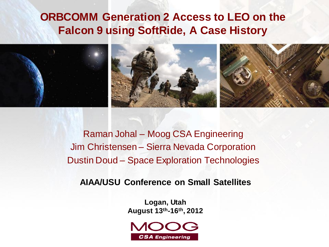### **ORBCOMM Generation 2 Access to LEO on the Falcon 9 using SoftRide, A Case History**







Raman Johal – Moog CSA Engineering Jim Christensen – Sierra Nevada Corporation Dustin Doud – Space Exploration Technologies

**AIAA/USU Conference on Small Satellites**

**Logan, Utah August 13th-16th , 2012**

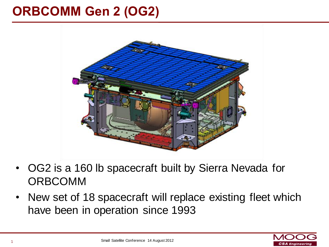### **ORBCOMM Gen 2 (OG2)**



- OG2 is a 160 lb spacecraft built by Sierra Nevada for ORBCOMM
- New set of 18 spacecraft will replace existing fleet which have been in operation since 1993

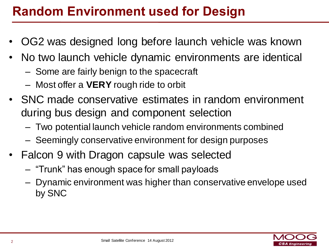### **Random Environment used for Design**

- OG2 was designed long before launch vehicle was known
- No two launch vehicle dynamic environments are identical
	- Some are fairly benign to the spacecraft
	- Most offer a **VERY** rough ride to orbit
- SNC made conservative estimates in random environment during bus design and component selection
	- Two potential launch vehicle random environments combined
	- Seemingly conservative environment for design purposes
- Falcon 9 with Dragon capsule was selected
	- "Trunk" has enough space for small payloads
	- Dynamic environment was higher than conservative envelope used by SNC

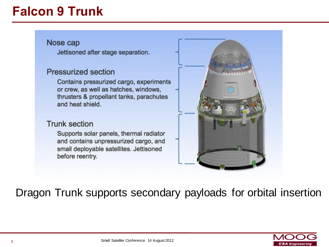### **Falcon 9 Trunk**

#### Nose cap

Jettisoned after stage separation.

#### **Pressurized section**

Contains pressurized cargo, experiments or crew, as well as hatches, windows, thrusters & propellant tanks, parachutes and heat shield.

#### **Trunk section**

Supports solar panels, thermal radiator and contains unpressurized cargo, and small deployable satellites. Jettisoned before reentry.



Dragon Trunk supports secondary payloads for orbital insertion

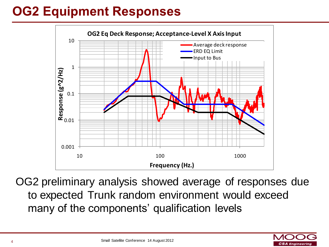# **OG2 Equipment Responses**



OG2 preliminary analysis showed average of responses due to expected Trunk random environment would exceed many of the components' qualification levels

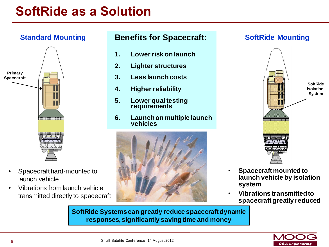### **SoftRide as a Solution**

### **Standard Mounting**



- Spacecraft hard-mounted to launch vehicle
- Vibrations from launch vehicle transmitted directly to spacecraft

#### **Benefits for Spacecraft:**

- **1. Lower risk on launch**
- **2. Lighter structures**
- **3. Less launch costs**
- **4. Higher reliability**
- **5. Lower qual testing requirements**
- **6. Launch on multiple launch vehicles**



#### **SoftRide Mounting**



- **Spacecraft mounted to launch vehicle by isolation system**
- **Vibrations transmitted to spacecraft greatly reduced**

**SoftRide Systems can greatly reduce spacecraft dynamic responses, significantly saving time and money**

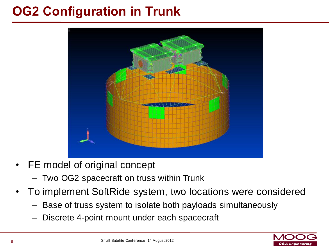### **OG2 Configuration in Trunk**



- FE model of original concept
	- Two OG2 spacecraft on truss within Trunk
- To implement SoftRide system, two locations were considered
	- Base of truss system to isolate both payloads simultaneously
	- Discrete 4-point mount under each spacecraft

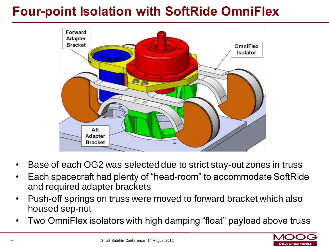### **Four-point Isolation with SoftRide OmniFlex**



- Base of each OG2 was selected due to strict stay-out zones in truss
- Each spacecraft had plenty of "head-room" to accommodate SoftRide and required adapter brackets
- Push-off springs on truss were moved to forward bracket which also housed sep-nut
- Two OmniFlex isolators with high damping "float" payload above truss

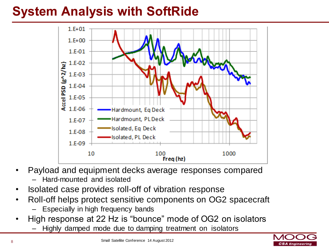### **System Analysis with SoftRide**



- Payload and equipment decks average responses compared
	- Hard-mounted and isolated
- Isolated case provides roll-off of vibration response
- Roll-off helps protect sensitive components on OG2 spacecraft
	- Especially in high frequency bands
- High response at 22 Hz is "bounce" mode of OG2 on isolators
	- Highly damped mode due to damping treatment on isolators

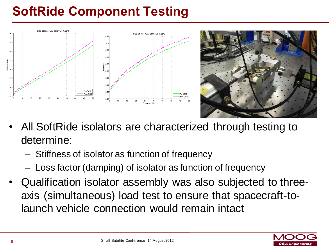# **SoftRide Component Testing**





- All SoftRide isolators are characterized through testing to determine:
	- Stiffness of isolator as function of frequency
	- Loss factor (damping) of isolator as function of frequency
- Qualification isolator assembly was also subjected to threeaxis (simultaneous) load test to ensure that spacecraft-tolaunch vehicle connection would remain intact

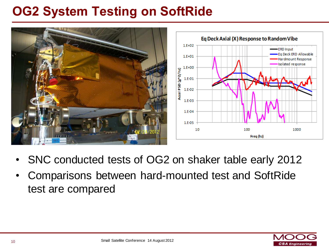### **OG2 System Testing on SoftRide**



- SNC conducted tests of OG2 on shaker table early 2012
- Comparisons between hard-mounted test and SoftRide test are compared